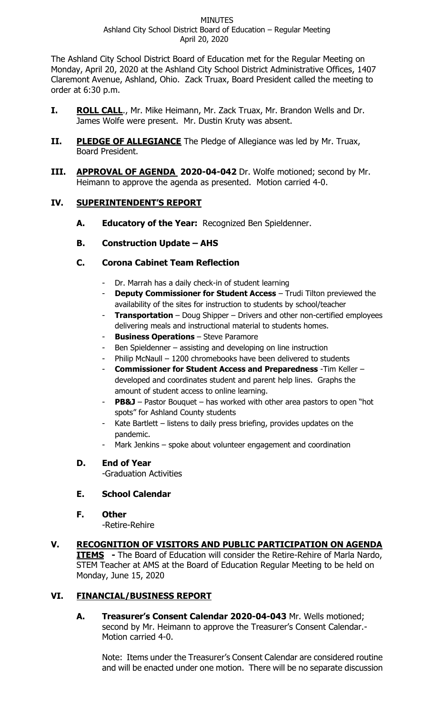The Ashland City School District Board of Education met for the Regular Meeting on Monday, April 20, 2020 at the Ashland City School District Administrative Offices, 1407 Claremont Avenue, Ashland, Ohio. Zack Truax, Board President called the meeting to order at 6:30 p.m.

- **I. ROLL CALL**., Mr. Mike Heimann, Mr. Zack Truax, Mr. Brandon Wells and Dr. James Wolfe were present. Mr. Dustin Kruty was absent.
- **II.** PLEDGE OF ALLEGIANCE The Pledge of Allegiance was led by Mr. Truax, Board President.
- **III. APPROVAL OF AGENDA 2020-04-042** Dr. Wolfe motioned; second by Mr. Heimann to approve the agenda as presented. Motion carried 4-0.

# **IV. SUPERINTENDENT'S REPORT**

- **A. Educatory of the Year:** Recognized Ben Spieldenner.
- **B. Construction Update – AHS**

# **C. Corona Cabinet Team Reflection**

- Dr. Marrah has a daily check-in of student learning
- **Deputy Commissioner for Student Access** Trudi Tilton previewed the availability of the sites for instruction to students by school/teacher
- **Transportation** Doug Shipper Drivers and other non-certified employees delivering meals and instructional material to students homes.
- **Business Operations** Steve Paramore
- Ben Spieldenner assisting and developing on line instruction
- Philip McNaull 1200 chromebooks have been delivered to students
- **Commissioner for Student Access and Preparedness** -Tim Keller developed and coordinates student and parent help lines. Graphs the amount of student access to online learning.
- **PB&J** Pastor Bouquet has worked with other area pastors to open "hot spots" for Ashland County students
- Kate Bartlett  $-$  listens to daily press briefing, provides updates on the pandemic.
- Mark Jenkins spoke about volunteer engagement and coordination

# **D. End of Year**

-Graduation Activities

# **E. School Calendar**

**F. Other**

-Retire-Rehire

**V. RECOGNITION OF VISITORS AND PUBLIC PARTICIPATION ON AGENDA ITEMS** - The Board of Education will consider the Retire-Rehire of Marla Nardo, STEM Teacher at AMS at the Board of Education Regular Meeting to be held on Monday, June 15, 2020

# **VI. FINANCIAL/BUSINESS REPORT**

**A. Treasurer's Consent Calendar 2020-04-043** Mr. Wells motioned; second by Mr. Heimann to approve the Treasurer's Consent Calendar.- Motion carried 4-0.

Note: Items under the Treasurer's Consent Calendar are considered routine and will be enacted under one motion. There will be no separate discussion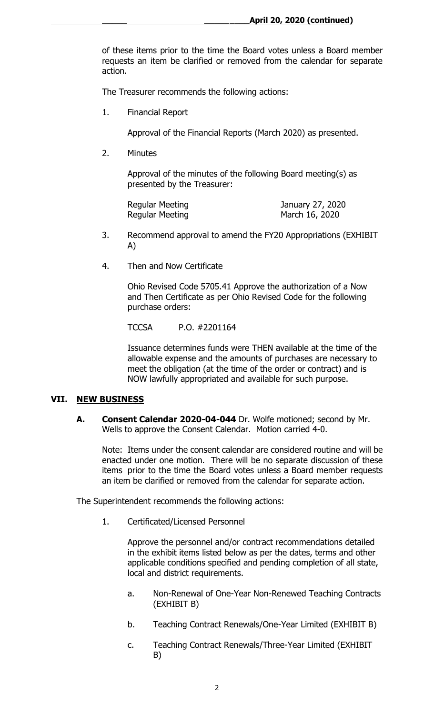of these items prior to the time the Board votes unless a Board member requests an item be clarified or removed from the calendar for separate action.

The Treasurer recommends the following actions:

1. Financial Report

Approval of the Financial Reports (March 2020) as presented.

2. Minutes

Approval of the minutes of the following Board meeting(s) as presented by the Treasurer:

Regular Meeting **Immuno Communist Communist Communist Communist Communist Communist Communist Communist Communist Communist Communist Communist Communist Communist Communist Communist Communist Communist Communist Communis** Regular Meeting March 16, 2020

- 3. Recommend approval to amend the FY20 Appropriations (EXHIBIT A)
- 4. Then and Now Certificate

Ohio Revised Code 5705.41 Approve the authorization of a Now and Then Certificate as per Ohio Revised Code for the following purchase orders:

TCCSA P.O. #2201164

Issuance determines funds were THEN available at the time of the allowable expense and the amounts of purchases are necessary to meet the obligation (at the time of the order or contract) and is NOW lawfully appropriated and available for such purpose.

## **VII. NEW BUSINESS**

**A. Consent Calendar 2020-04-044** Dr. Wolfe motioned; second by Mr. Wells to approve the Consent Calendar. Motion carried 4-0.

Note: Items under the consent calendar are considered routine and will be enacted under one motion. There will be no separate discussion of these items prior to the time the Board votes unless a Board member requests an item be clarified or removed from the calendar for separate action.

The Superintendent recommends the following actions:

1. Certificated/Licensed Personnel

Approve the personnel and/or contract recommendations detailed in the exhibit items listed below as per the dates, terms and other applicable conditions specified and pending completion of all state, local and district requirements.

- a. Non-Renewal of One-Year Non-Renewed Teaching Contracts (EXHIBIT B)
- b. Teaching Contract Renewals/One-Year Limited (EXHIBIT B)
- c. Teaching Contract Renewals/Three-Year Limited (EXHIBIT B)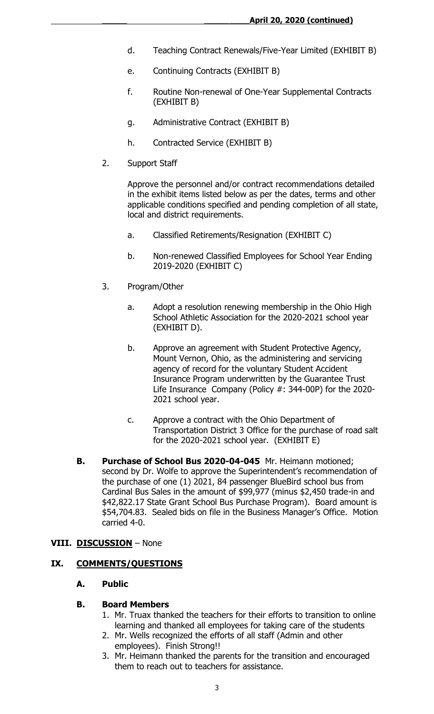- d. Teaching Contract Renewals/Five-Year Limited (EXHIBIT B)
- e. Continuing Contracts (EXHIBIT B)
- f. Routine Non-renewal of One-Year Supplemental Contracts (EXHIBIT B)
- g. Administrative Contract (EXHIBIT B)
- h. Contracted Service (EXHIBIT B)
- 2. Support Staff

Approve the personnel and/or contract recommendations detailed in the exhibit items listed below as per the dates, terms and other applicable conditions specified and pending completion of all state, local and district requirements.

- a. Classified Retirements/Resignation (EXHIBIT C)
- b. Non-renewed Classified Employees for School Year Ending 2019-2020 (EXHIBIT C)
- 3. Program/Other
	- a. Adopt a resolution renewing membership in the Ohio High School Athletic Association for the 2020-2021 school year (EXHIBIT D).
	- b. Approve an agreement with Student Protective Agency, Mount Vernon, Ohio, as the administering and servicing agency of record for the voluntary Student Accident Insurance Program underwritten by the Guarantee Trust Life Insurance Company (Policy #: 344-00P) for the 2020- 2021 school year.
	- c. Approve a contract with the Ohio Department of Transportation District 3 Office for the purchase of road salt for the 2020-2021 school year. (EXHIBIT E)
- **B. Purchase of School Bus 2020-04-045** Mr. Heimann motioned; second by Dr. Wolfe to approve the Superintendent's recommendation of the purchase of one (1) 2021, 84 passenger BlueBird school bus from Cardinal Bus Sales in the amount of \$99,977 (minus \$2,450 trade-in and \$42,822.17 State Grant School Bus Purchase Program). Board amount is \$54,704.83. Sealed bids on file in the Business Manager's Office. Motion carried 4-0.

## **VIII. DISCUSSION** – None

#### **IX. COMMENTS/QUESTIONS**

### **A. Public**

#### **B. Board Members**

- 1. Mr. Truax thanked the teachers for their efforts to transition to online learning and thanked all employees for taking care of the students
- 2. Mr. Wells recognized the efforts of all staff (Admin and other employees). Finish Strong!!
- 3. Mr. Heimann thanked the parents for the transition and encouraged them to reach out to teachers for assistance.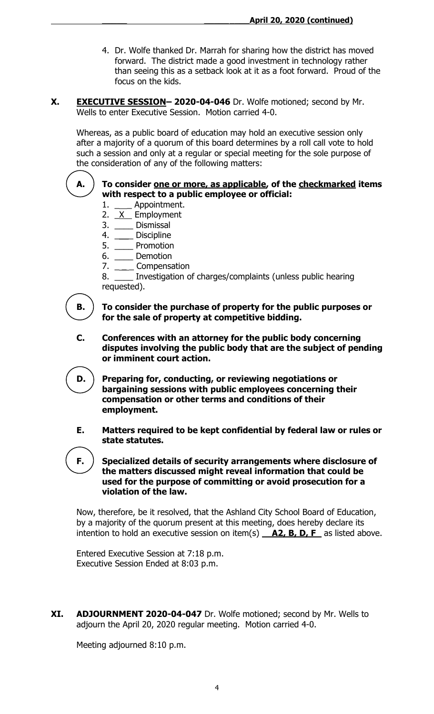- 4. Dr. Wolfe thanked Dr. Marrah for sharing how the district has moved forward. The district made a good investment in technology rather than seeing this as a setback look at it as a foot forward. Proud of the focus on the kids.
- **X. EXECUTIVE SESSION– 2020-04-046** Dr. Wolfe motioned; second by Mr. Wells to enter Executive Session. Motion carried 4-0.

Whereas, as a public board of education may hold an executive session only after a majority of a quorum of this board determines by a roll call vote to hold such a session and only at a regular or special meeting for the sole purpose of the consideration of any of the following matters:

## **A. To consider one or more, as applicable, of the checkmarked items with respect to a public employee or official:**

- 1. \_\_\_\_ Appointment.
- 2. <u>X</u> Employment
- 3. \_\_\_\_ Dismissal
- 4. \_\_\_\_ Discipline
- 5. \_\_\_\_ Promotion
- 6. \_\_\_\_ Demotion
- 7. \_\_\_\_\_ Compensation

8. \_\_\_\_ Investigation of charges/complaints (unless public hearing requested).

**B. To consider the purchase of property for the public purposes or for the sale of property at competitive bidding.**

**C. Conferences with an attorney for the public body concerning disputes involving the public body that are the subject of pending or imminent court action.**

**D. Preparing for, conducting, or reviewing negotiations or bargaining sessions with public employees concerning their compensation or other terms and conditions of their employment.**

**E. Matters required to be kept confidential by federal law or rules or state statutes.**

**F. Specialized details of security arrangements where disclosure of the matters discussed might reveal information that could be used for the purpose of committing or avoid prosecution for a violation of the law.**

Now, therefore, be it resolved, that the Ashland City School Board of Education, by a majority of the quorum present at this meeting, does hereby declare its intention to hold an executive session on item(s) **A2, B, D, F** as listed above.

Entered Executive Session at 7:18 p.m. Executive Session Ended at 8:03 p.m.

**XI. ADJOURNMENT 2020-04-047** Dr. Wolfe motioned; second by Mr. Wells to adjourn the April 20, 2020 regular meeting. Motion carried 4-0.

Meeting adjourned 8:10 p.m.